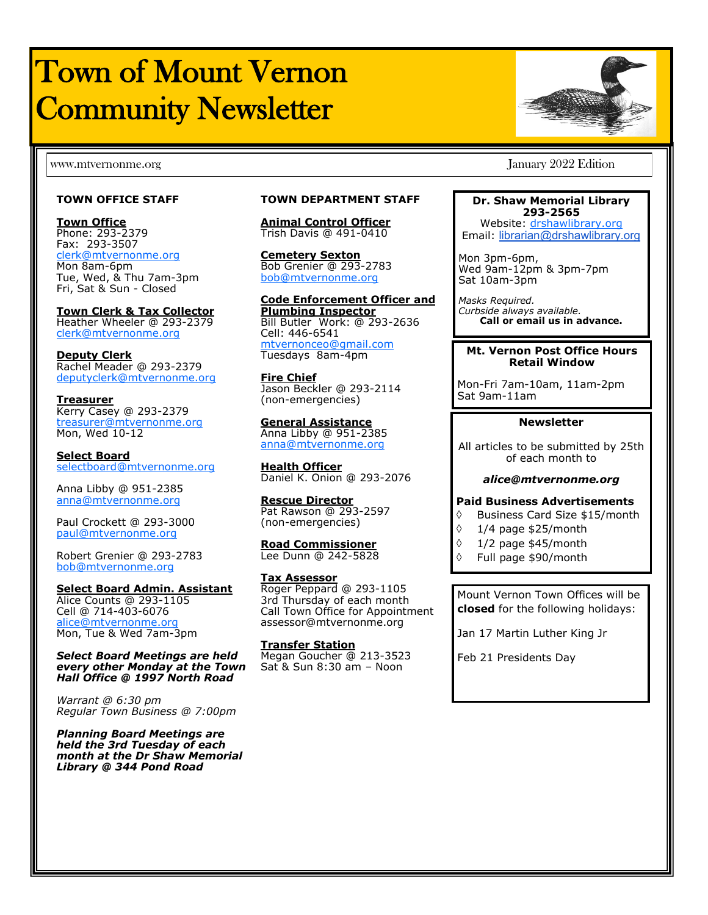# Town of Mount Vernon Community Newsletter

#### **TOWN OFFICE STAFF**

**Town Office** Phone: 293-2379 Fax: 293-3507 [clerk@mtvernonme.org](mailto:clerk@mtvernonme.org) Mon 8am-6pm Tue, Wed, & Thu 7am-3pm Fri, Sat & Sun - Closed

**Town Clerk & Tax Collector** Heather Wheeler @ 293-2379 [clerk@mtvernonme.org](mailto:clerk@mtvernonme.org)

**Deputy Clerk** Rachel Meader @ 293-2379 [deputyclerk@mtvernonme.org](mailto:deputyclerk@mtvernonme.org)

**Treasurer** Kerry Casey @ 293-2379 [treasurer@mtvernonme.org](mailto:treasurer@mtvernonme.org) Mon, Wed 10-12

**Select Board** [selectboard@mtvernonme.org](mailto:selectboard@mtvernonme.org)

Anna Libby @ 951-2385 anna@mtvernonme.org

Paul Crockett @ 293-3000 [paul@mtvernonme.org](mailto:paul@mtvernonme.org)

Robert Grenier @ 293-2783 bob@mtvernonme.org

#### **Select Board Admin. Assistant**

Alice Counts @ 293-1105 Cell @ 714-403-6076 alice@mtvernonme.org Mon, Tue & Wed 7am-3pm

*Select Board Meetings are held every other Monday at the Town Hall Office @ 1997 North Road*

*Warrant @ 6:30 pm Regular Town Business @ 7:00pm*

*Planning Board Meetings are held the 3rd Tuesday of each month at the Dr Shaw Memorial Library @ 344 Pond Road*

#### **TOWN DEPARTMENT STAFF**

**Animal Control Officer** Trish Davis @ 491-0410

**Cemetery Sexton** Bob Grenier @ 293-2783 bob@mtvernonme.org

**Code Enforcement Officer and Plumbing Inspector** Bill Butler Work: @ 293-2636 Cell: 446-6541 [mtvernonceo@gmail.com](mailto:ceo@mtvernonme.org) Tuesdays 8am-4pm

**Fire Chief** Jason Beckler @ 293-2114 (non-emergencies)

**General Assistance** Anna Libby @ 951-2385 anna@mtvernonme.org

**Health Officer** Daniel K. Onion @ 293-2076

**Rescue Director** Pat Rawson @ 293-2597 (non-emergencies)

**Road Commissioner** Lee Dunn @ 242-5828

#### **Tax Assessor**

Roger Peppard @ 293-1105 3rd Thursday of each month Call Town Office for Appointment assessor@mtvernonme.org

**Transfer Station** Megan Goucher @ 213-3523 Sat & Sun 8:30 am – Noon

www.mtvernonme.org January 2022 Edition

#### **Dr. Shaw Memorial Library 293-2565**

Website: <drshawlibrary.org> Email: [librarian@drshawlibrary.org](mailto:librarian@drshawlibrary.org)

Mon 3pm-6pm, Wed 9am-12pm & 3pm-7pm Sat 10am-3pm

*Masks Required. Curbside always available.* **Call or email us in advance.**

#### **Mt. Vernon Post Office Hours Retail Window**

Mon-Fri 7am-10am, 11am-2pm Sat 9am-11am

#### **Newsletter**

All articles to be submitted by 25th of each month to

#### *alice@mtvernonme.org*

#### **Paid Business Advertisements**

- Business Card Size \$15/month
- $\lozenge$  1/4 page \$25/month
- $\Diamond$  1/2 page \$45/month
- Full page \$90/month

Mount Vernon Town Offices will be **closed** for the following holidays:

Jan 17 Martin Luther King Jr

Feb 21 Presidents Day

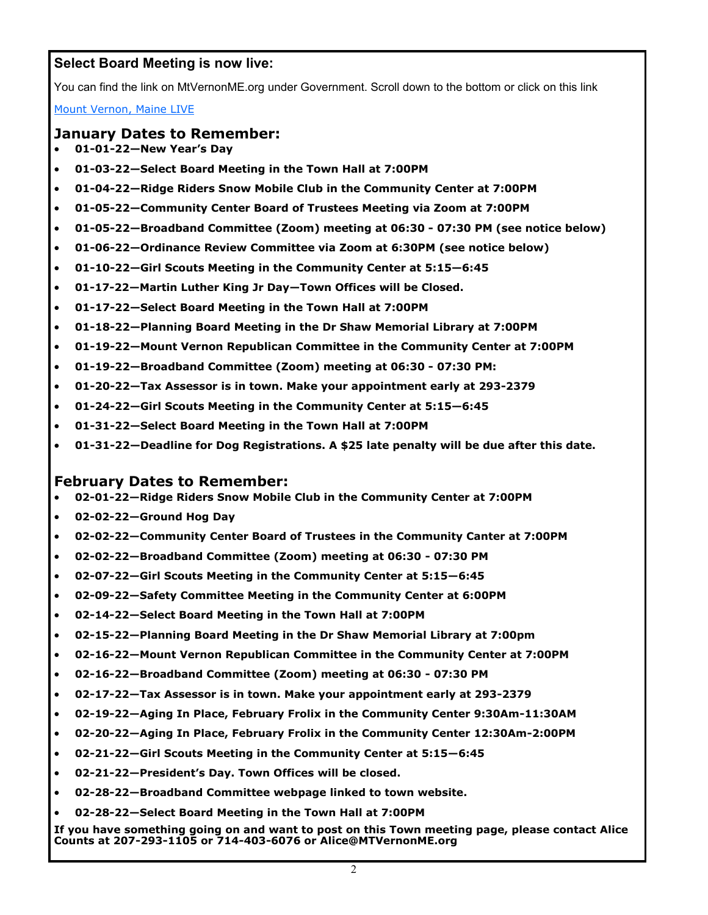# **Select Board Meeting is now live:**

You can find the link on MtVernonME.org under Government. Scroll down to the bottom or click on this link

[Mount Vernon, Maine LIVE](youtube.com/channel/UC3UCAtx3K5rgMCNAcBCqnLQ/live)

#### **January Dates to Remember:**

- **01-01-22—New Year's Day**
- **01-03-22—Select Board Meeting in the Town Hall at 7:00PM**
- **01-04-22—Ridge Riders Snow Mobile Club in the Community Center at 7:00PM**
- **01-05-22—Community Center Board of Trustees Meeting via Zoom at 7:00PM**
- **01-05-22—Broadband Committee (Zoom) meeting at 06:30 - 07:30 PM (see notice below)**
- **01-06-22—Ordinance Review Committee via Zoom at 6:30PM (see notice below)**
- **01-10-22—Girl Scouts Meeting in the Community Center at 5:15—6:45**
- **01-17-22—Martin Luther King Jr Day—Town Offices will be Closed.**
- **01-17-22—Select Board Meeting in the Town Hall at 7:00PM**
- **01-18-22—Planning Board Meeting in the Dr Shaw Memorial Library at 7:00PM**
- **01-19-22—Mount Vernon Republican Committee in the Community Center at 7:00PM**
- **01-19-22—Broadband Committee (Zoom) meeting at 06:30 - 07:30 PM:**
- **01-20-22—Tax Assessor is in town. Make your appointment early at 293-2379**
- **01-24-22—Girl Scouts Meeting in the Community Center at 5:15—6:45**
- **01-31-22—Select Board Meeting in the Town Hall at 7:00PM**
- **01-31-22—Deadline for Dog Registrations. A \$25 late penalty will be due after this date.**

#### **February Dates to Remember:**

- **02-01-22—Ridge Riders Snow Mobile Club in the Community Center at 7:00PM**
- **02-02-22—Ground Hog Day**
- **02-02-22—Community Center Board of Trustees in the Community Canter at 7:00PM**
- **02-02-22—Broadband Committee (Zoom) meeting at 06:30 - 07:30 PM**
- **02-07-22—Girl Scouts Meeting in the Community Center at 5:15—6:45**
- **02-09-22—Safety Committee Meeting in the Community Center at 6:00PM**
- **02-14-22—Select Board Meeting in the Town Hall at 7:00PM**
- **02-15-22—Planning Board Meeting in the Dr Shaw Memorial Library at 7:00pm**
- **02-16-22—Mount Vernon Republican Committee in the Community Center at 7:00PM**
- **02-16-22—Broadband Committee (Zoom) meeting at 06:30 - 07:30 PM**
- **02-17-22—Tax Assessor is in town. Make your appointment early at 293-2379**
- **02-19-22—Aging In Place, February Frolix in the Community Center 9:30Am-11:30AM**
- **02-20-22—Aging In Place, February Frolix in the Community Center 12:30Am-2:00PM**
- **02-21-22—Girl Scouts Meeting in the Community Center at 5:15—6:45**
- **02-21-22—President's Day. Town Offices will be closed.**
- **02-28-22—Broadband Committee webpage linked to town website.**
- **02-28-22—Select Board Meeting in the Town Hall at 7:00PM**

**If you have something going on and want to post on this Town meeting page, please contact Alice Counts at 207-293-1105 or 714-403-6076 or Alice@MTVernonME.org**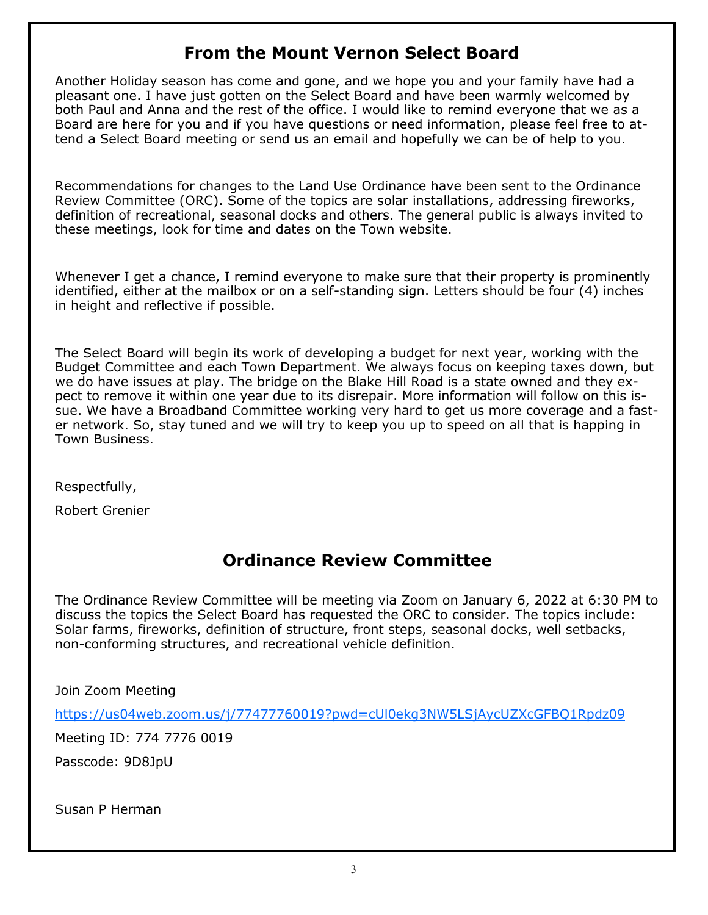# **From the Mount Vernon Select Board**

Another Holiday season has come and gone, and we hope you and your family have had a pleasant one. I have just gotten on the Select Board and have been warmly welcomed by both Paul and Anna and the rest of the office. I would like to remind everyone that we as a Board are here for you and if you have questions or need information, please feel free to attend a Select Board meeting or send us an email and hopefully we can be of help to you.

Recommendations for changes to the Land Use Ordinance have been sent to the Ordinance Review Committee (ORC). Some of the topics are solar installations, addressing fireworks, definition of recreational, seasonal docks and others. The general public is always invited to these meetings, look for time and dates on the Town website.

Whenever I get a chance, I remind everyone to make sure that their property is prominently identified, either at the mailbox or on a self-standing sign. Letters should be four (4) inches in height and reflective if possible.

The Select Board will begin its work of developing a budget for next year, working with the Budget Committee and each Town Department. We always focus on keeping taxes down, but we do have issues at play. The bridge on the Blake Hill Road is a state owned and they expect to remove it within one year due to its disrepair. More information will follow on this issue. We have a Broadband Committee working very hard to get us more coverage and a faster network. So, stay tuned and we will try to keep you up to speed on all that is happing in Town Business.

Respectfully,

Robert Grenier

# **Ordinance Review Committee**

The Ordinance Review Committee will be meeting via Zoom on January 6, 2022 at 6:30 PM to discuss the topics the Select Board has requested the ORC to consider. The topics include: Solar farms, fireworks, definition of structure, front steps, seasonal docks, well setbacks, non-conforming structures, and recreational vehicle definition.

Join Zoom Meeting

<https://us04web.zoom.us/j/77477760019?pwd=cUl0ekg3NW5LSjAycUZXcGFBQ1Rpdz09>

Meeting ID: 774 7776 0019

Passcode: 9D8JpU

Susan P Herman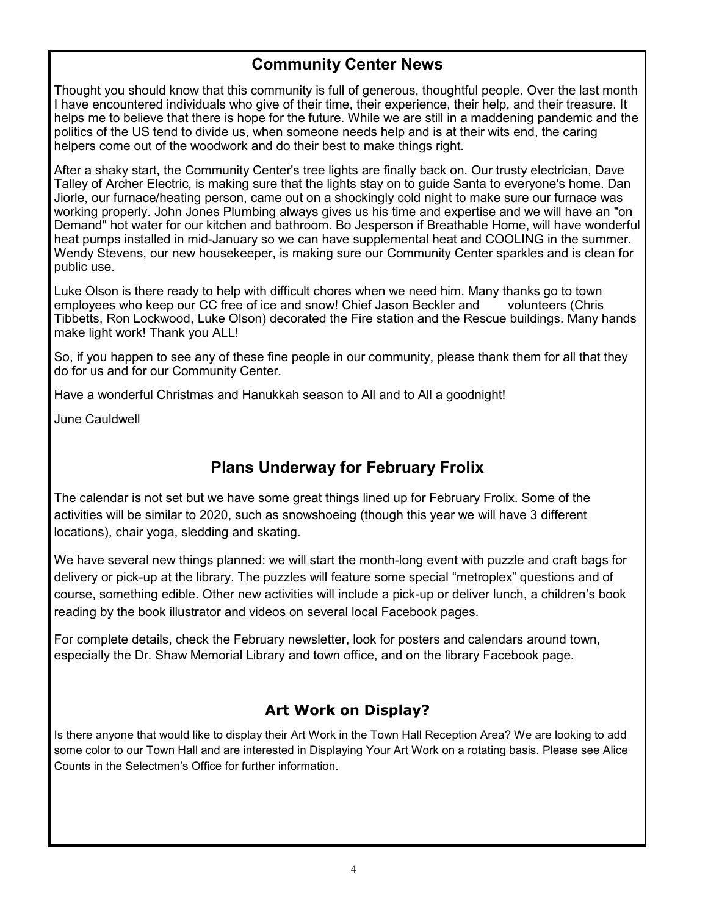# **Community Center News**

Thought you should know that this community is full of generous, thoughtful people. Over the last month I have encountered individuals who give of their time, their experience, their help, and their treasure. It helps me to believe that there is hope for the future. While we are still in a maddening pandemic and the politics of the US tend to divide us, when someone needs help and is at their wits end, the caring helpers come out of the woodwork and do their best to make things right.

After a shaky start, the Community Center's tree lights are finally back on. Our trusty electrician, Dave Talley of Archer Electric, is making sure that the lights stay on to guide Santa to everyone's home. Dan Jiorle, our furnace/heating person, came out on a shockingly cold night to make sure our furnace was working properly. John Jones Plumbing always gives us his time and expertise and we will have an "on Demand" hot water for our kitchen and bathroom. Bo Jesperson if Breathable Home, will have wonderful heat pumps installed in mid-January so we can have supplemental heat and COOLING in the summer. Wendy Stevens, our new housekeeper, is making sure our Community Center sparkles and is clean for public use.

Luke Olson is there ready to help with difficult chores when we need him. Many thanks go to town employees who keep our CC free of ice and snow! Chief Jason Beckler and volunteers (Chris Tibbetts, Ron Lockwood, Luke Olson) decorated the Fire station and the Rescue buildings. Many hands make light work! Thank you ALL!

So, if you happen to see any of these fine people in our community, please thank them for all that they do for us and for our Community Center.

Have a wonderful Christmas and Hanukkah season to All and to All a goodnight!

June Cauldwell

# **Plans Underway for February Frolix**

The calendar is not set but we have some great things lined up for February Frolix. Some of the activities will be similar to 2020, such as snowshoeing (though this year we will have 3 different locations), chair yoga, sledding and skating.

We have several new things planned: we will start the month-long event with puzzle and craft bags for delivery or pick-up at the library. The puzzles will feature some special "metroplex" questions and of course, something edible. Other new activities will include a pick-up or deliver lunch, a children's book reading by the book illustrator and videos on several local Facebook pages.

For complete details, check the February newsletter, look for posters and calendars around town, especially the Dr. Shaw Memorial Library and town office, and on the library Facebook page.

# **Art Work on Display?**

Is there anyone that would like to display their Art Work in the Town Hall Reception Area? We are looking to add some color to our Town Hall and are interested in Displaying Your Art Work on a rotating basis. Please see Alice Counts in the Selectmen's Office for further information.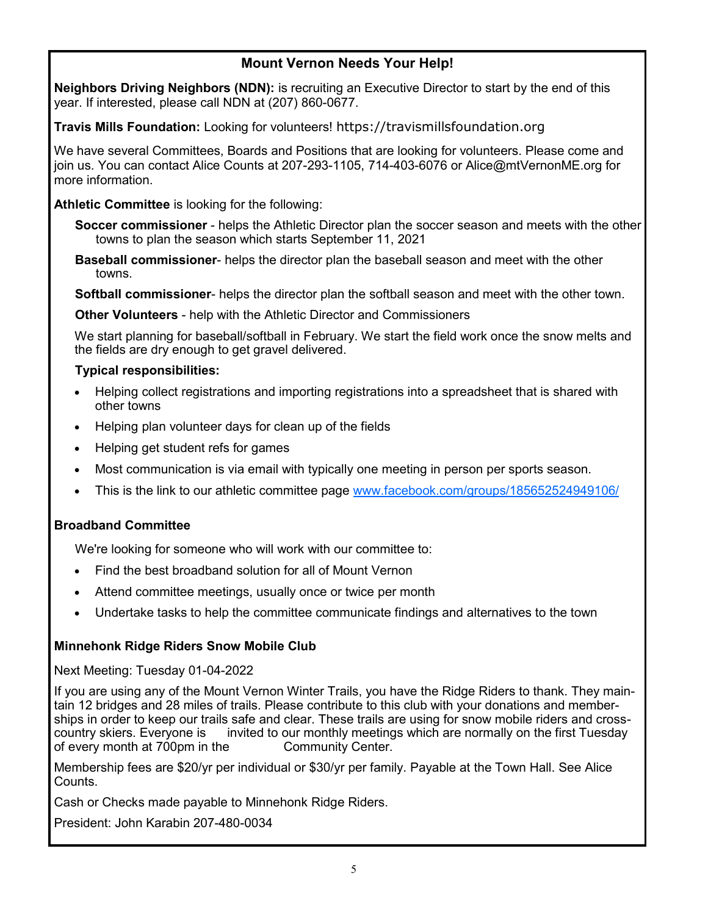# **Mount Vernon Needs Your Help!**

**Neighbors Driving Neighbors (NDN):** is recruiting an Executive Director to start by the end of this year. If interested, please call NDN at (207) 860-0677.

**Travis Mills Foundation:** Looking for volunteers! https://travismillsfoundation.org

We have several Committees, Boards and Positions that are looking for volunteers. Please come and join us. You can contact Alice Counts at 207-293-1105, 714-403-6076 or Alice@mtVernonME.org for more information.

**Athletic Committee** is looking for the following:

**Soccer commissioner** - helps the Athletic Director plan the soccer season and meets with the other towns to plan the season which starts September 11, 2021

**Baseball commissioner**- helps the director plan the baseball season and meet with the other towns.

**Softball commissioner**- helps the director plan the softball season and meet with the other town.

**Other Volunteers** - help with the Athletic Director and Commissioners

We start planning for baseball/softball in February. We start the field work once the snow melts and the fields are dry enough to get gravel delivered.

### **Typical responsibilities:**

- Helping collect registrations and importing registrations into a spreadsheet that is shared with other towns
- Helping plan volunteer days for clean up of the fields
- Helping get student refs for games
- Most communication is via email with typically one meeting in person per sports season.
- This is the link to our athletic committee page [www.facebook.com/groups/185652524949106/](http://www.facebook.com/groups/185652524949106/)

# **Broadband Committee**

We're looking for someone who will work with our committee to:

- Find the best broadband solution for all of Mount Vernon
- Attend committee meetings, usually once or twice per month
- Undertake tasks to help the committee communicate findings and alternatives to the town

# **Minnehonk Ridge Riders Snow Mobile Club**

Next Meeting: Tuesday 01-04-2022

If you are using any of the Mount Vernon Winter Trails, you have the Ridge Riders to thank. They maintain 12 bridges and 28 miles of trails. Please contribute to this club with your donations and memberships in order to keep our trails safe and clear. These trails are using for snow mobile riders and crosscountry skiers. Everyone is invited to our monthly meetings which are normally on the first Tuesday of every month at 700pm in the Community Center.

Membership fees are \$20/yr per individual or \$30/yr per family. Payable at the Town Hall. See Alice Counts.

Cash or Checks made payable to Minnehonk Ridge Riders.

President: John Karabin 207-480-0034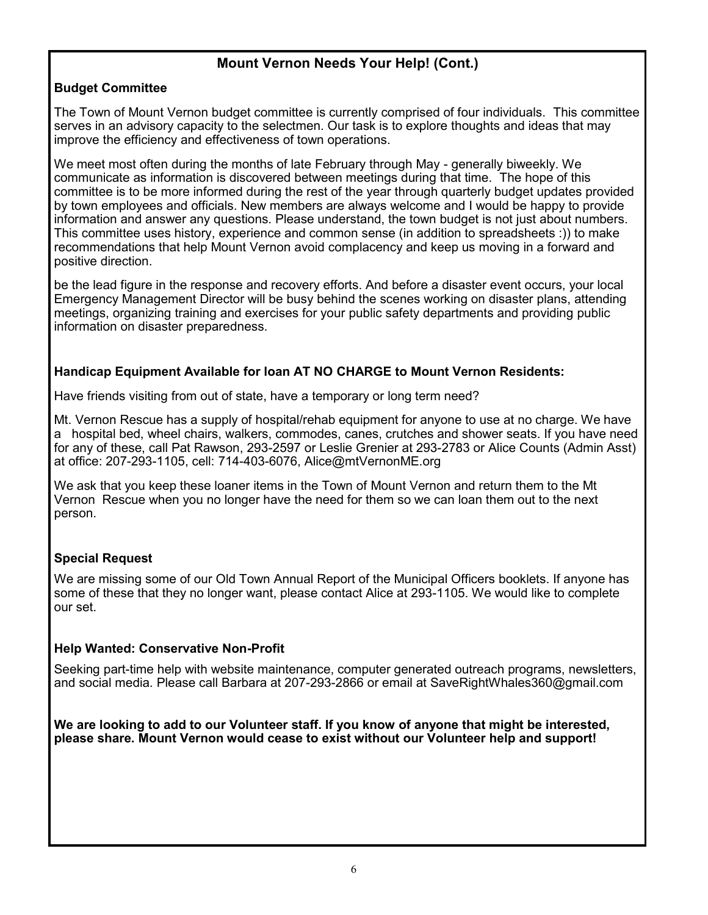### **Mount Vernon Needs Your Help! (Cont.)**

### **Budget Committee**

The Town of Mount Vernon budget committee is currently comprised of four individuals. This committee serves in an advisory capacity to the selectmen. Our task is to explore thoughts and ideas that may improve the efficiency and effectiveness of town operations.

We meet most often during the months of late February through May - generally biweekly. We communicate as information is discovered between meetings during that time. The hope of this committee is to be more informed during the rest of the year through quarterly budget updates provided by town employees and officials. New members are always welcome and I would be happy to provide information and answer any questions. Please understand, the town budget is not just about numbers. This committee uses history, experience and common sense (in addition to spreadsheets :)) to make recommendations that help Mount Vernon avoid complacency and keep us moving in a forward and positive direction.

be the lead figure in the response and recovery efforts. And before a disaster event occurs, your local Emergency Management Director will be busy behind the scenes working on disaster plans, attending meetings, organizing training and exercises for your public safety departments and providing public information on disaster preparedness.

### **Handicap Equipment Available for loan AT NO CHARGE to Mount Vernon Residents:**

Have friends visiting from out of state, have a temporary or long term need?

Mt. Vernon Rescue has a supply of hospital/rehab equipment for anyone to use at no charge. We have a hospital bed, wheel chairs, walkers, commodes, canes, crutches and shower seats. If you have need for any of these, call Pat Rawson, 293-2597 or Leslie Grenier at 293-2783 or Alice Counts (Admin Asst) at office: 207-293-1105, cell: 714-403-6076, Alice@mtVernonME.org

We ask that you keep these loaner items in the Town of Mount Vernon and return them to the Mt Vernon Rescue when you no longer have the need for them so we can loan them out to the next person.

### **Special Request**

We are missing some of our Old Town Annual Report of the Municipal Officers booklets. If anyone has some of these that they no longer want, please contact Alice at 293-1105. We would like to complete our set.

#### **Help Wanted: Conservative Non-Profit**

Seeking part-time help with website maintenance, computer generated outreach programs, newsletters, and social media. Please call Barbara at 207-293-2866 or email at SaveRightWhales360@gmail.com

**We are looking to add to our Volunteer staff. If you know of anyone that might be interested, please share. Mount Vernon would cease to exist without our Volunteer help and support!**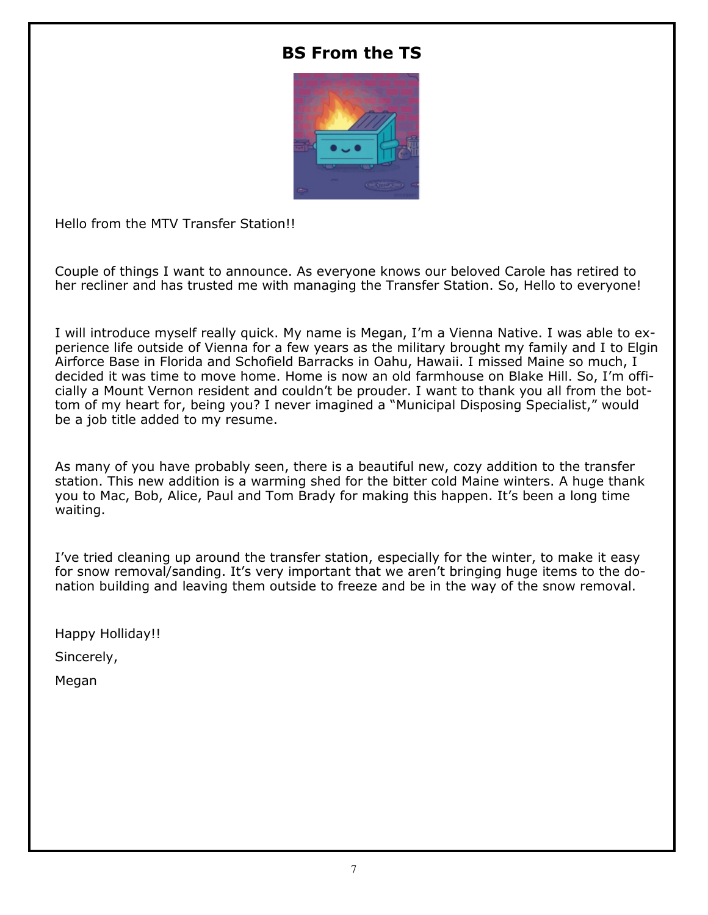# **BS From the TS**



Hello from the MTV Transfer Station!!

Couple of things I want to announce. As everyone knows our beloved Carole has retired to her recliner and has trusted me with managing the Transfer Station. So, Hello to everyone!

I will introduce myself really quick. My name is Megan, I'm a Vienna Native. I was able to experience life outside of Vienna for a few years as the military brought my family and I to Elgin Airforce Base in Florida and Schofield Barracks in Oahu, Hawaii. I missed Maine so much, I decided it was time to move home. Home is now an old farmhouse on Blake Hill. So, I'm officially a Mount Vernon resident and couldn't be prouder. I want to thank you all from the bottom of my heart for, being you? I never imagined a "Municipal Disposing Specialist," would be a job title added to my resume.

As many of you have probably seen, there is a beautiful new, cozy addition to the transfer station. This new addition is a warming shed for the bitter cold Maine winters. A huge thank you to Mac, Bob, Alice, Paul and Tom Brady for making this happen. It's been a long time waiting.

I've tried cleaning up around the transfer station, especially for the winter, to make it easy for snow removal/sanding. It's very important that we aren't bringing huge items to the donation building and leaving them outside to freeze and be in the way of the snow removal.

Happy Holliday!!

Sincerely,

Megan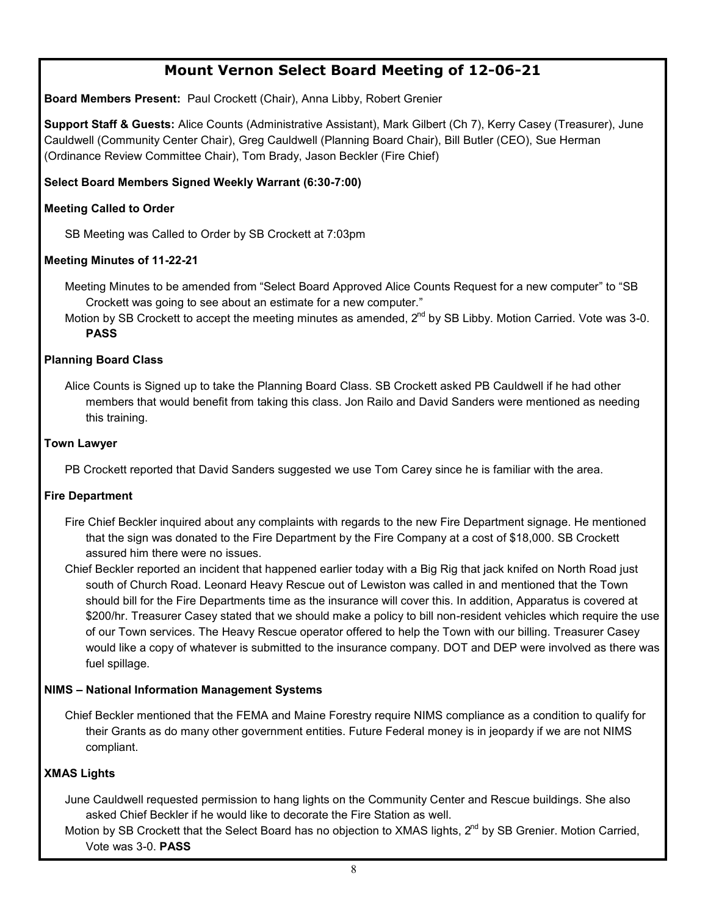# **Mount Vernon Select Board Meeting of 12-06-21**

**Board Members Present:** Paul Crockett (Chair), Anna Libby, Robert Grenier

**Support Staff & Guests:** Alice Counts (Administrative Assistant), Mark Gilbert (Ch 7), Kerry Casey (Treasurer), June Cauldwell (Community Center Chair), Greg Cauldwell (Planning Board Chair), Bill Butler (CEO), Sue Herman (Ordinance Review Committee Chair), Tom Brady, Jason Beckler (Fire Chief)

#### **Select Board Members Signed Weekly Warrant (6:30-7:00)**

#### **Meeting Called to Order**

SB Meeting was Called to Order by SB Crockett at 7:03pm

#### **Meeting Minutes of 11-22-21**

Meeting Minutes to be amended from "Select Board Approved Alice Counts Request for a new computer" to "SB Crockett was going to see about an estimate for a new computer."

Motion by SB Crockett to accept the meeting minutes as amended, 2<sup>nd</sup> by SB Libby. Motion Carried. Vote was 3-0. **PASS**

#### **Planning Board Class**

Alice Counts is Signed up to take the Planning Board Class. SB Crockett asked PB Cauldwell if he had other members that would benefit from taking this class. Jon Railo and David Sanders were mentioned as needing this training.

#### **Town Lawyer**

PB Crockett reported that David Sanders suggested we use Tom Carey since he is familiar with the area.

#### **Fire Department**

Fire Chief Beckler inquired about any complaints with regards to the new Fire Department signage. He mentioned that the sign was donated to the Fire Department by the Fire Company at a cost of \$18,000. SB Crockett assured him there were no issues.

Chief Beckler reported an incident that happened earlier today with a Big Rig that jack knifed on North Road just south of Church Road. Leonard Heavy Rescue out of Lewiston was called in and mentioned that the Town should bill for the Fire Departments time as the insurance will cover this. In addition, Apparatus is covered at \$200/hr. Treasurer Casey stated that we should make a policy to bill non-resident vehicles which require the use of our Town services. The Heavy Rescue operator offered to help the Town with our billing. Treasurer Casey would like a copy of whatever is submitted to the insurance company. DOT and DEP were involved as there was fuel spillage.

#### **NIMS – National Information Management Systems**

Chief Beckler mentioned that the FEMA and Maine Forestry require NIMS compliance as a condition to qualify for their Grants as do many other government entities. Future Federal money is in jeopardy if we are not NIMS compliant.

#### **XMAS Lights**

June Cauldwell requested permission to hang lights on the Community Center and Rescue buildings. She also asked Chief Beckler if he would like to decorate the Fire Station as well.

Motion by SB Crockett that the Select Board has no objection to XMAS lights, 2<sup>nd</sup> by SB Grenier. Motion Carried. Vote was 3-0. **PASS**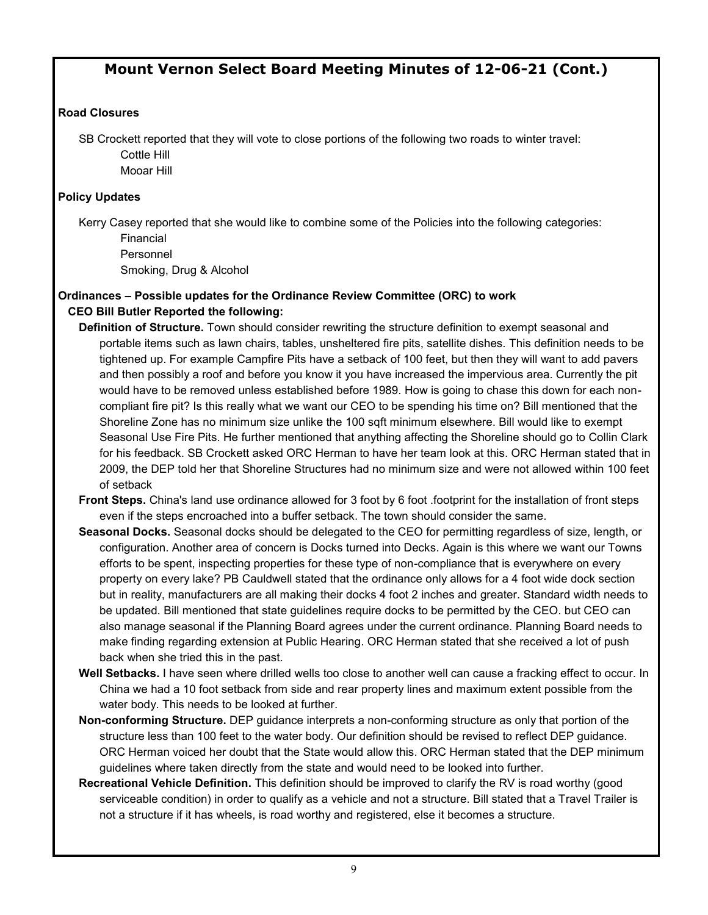# **Mount Vernon Select Board Meeting Minutes of 12-06-21 (Cont.)**

#### **Road Closures**

SB Crockett reported that they will vote to close portions of the following two roads to winter travel: Cottle Hill

Mooar Hill

#### **Policy Updates**

Kerry Casey reported that she would like to combine some of the Policies into the following categories: Financial Personnel

Smoking, Drug & Alcohol

#### **Ordinances – Possible updates for the Ordinance Review Committee (ORC) to work CEO Bill Butler Reported the following:**

- **Definition of Structure.** Town should consider rewriting the structure definition to exempt seasonal and portable items such as lawn chairs, tables, unsheltered fire pits, satellite dishes. This definition needs to be tightened up. For example Campfire Pits have a setback of 100 feet, but then they will want to add pavers and then possibly a roof and before you know it you have increased the impervious area. Currently the pit would have to be removed unless established before 1989. How is going to chase this down for each noncompliant fire pit? Is this really what we want our CEO to be spending his time on? Bill mentioned that the Shoreline Zone has no minimum size unlike the 100 sqft minimum elsewhere. Bill would like to exempt Seasonal Use Fire Pits. He further mentioned that anything affecting the Shoreline should go to Collin Clark for his feedback. SB Crockett asked ORC Herman to have her team look at this. ORC Herman stated that in 2009, the DEP told her that Shoreline Structures had no minimum size and were not allowed within 100 feet of setback
- **Front Steps.** China's land use ordinance allowed for 3 foot by 6 foot .footprint for the installation of front steps even if the steps encroached into a buffer setback. The town should consider the same.
- **Seasonal Docks.** Seasonal docks should be delegated to the CEO for permitting regardless of size, length, or configuration. Another area of concern is Docks turned into Decks. Again is this where we want our Towns efforts to be spent, inspecting properties for these type of non-compliance that is everywhere on every property on every lake? PB Cauldwell stated that the ordinance only allows for a 4 foot wide dock section but in reality, manufacturers are all making their docks 4 foot 2 inches and greater. Standard width needs to be updated. Bill mentioned that state guidelines require docks to be permitted by the CEO. but CEO can also manage seasonal if the Planning Board agrees under the current ordinance. Planning Board needs to make finding regarding extension at Public Hearing. ORC Herman stated that she received a lot of push back when she tried this in the past.
- **Well Setbacks.** I have seen where drilled wells too close to another well can cause a fracking effect to occur. In China we had a 10 foot setback from side and rear property lines and maximum extent possible from the water body. This needs to be looked at further.
- **Non-conforming Structure.** DEP guidance interprets a non-conforming structure as only that portion of the structure less than 100 feet to the water body. Our definition should be revised to reflect DEP guidance. ORC Herman voiced her doubt that the State would allow this. ORC Herman stated that the DEP minimum guidelines where taken directly from the state and would need to be looked into further.
- **Recreational Vehicle Definition.** This definition should be improved to clarify the RV is road worthy (good serviceable condition) in order to qualify as a vehicle and not a structure. Bill stated that a Travel Trailer is not a structure if it has wheels, is road worthy and registered, else it becomes a structure.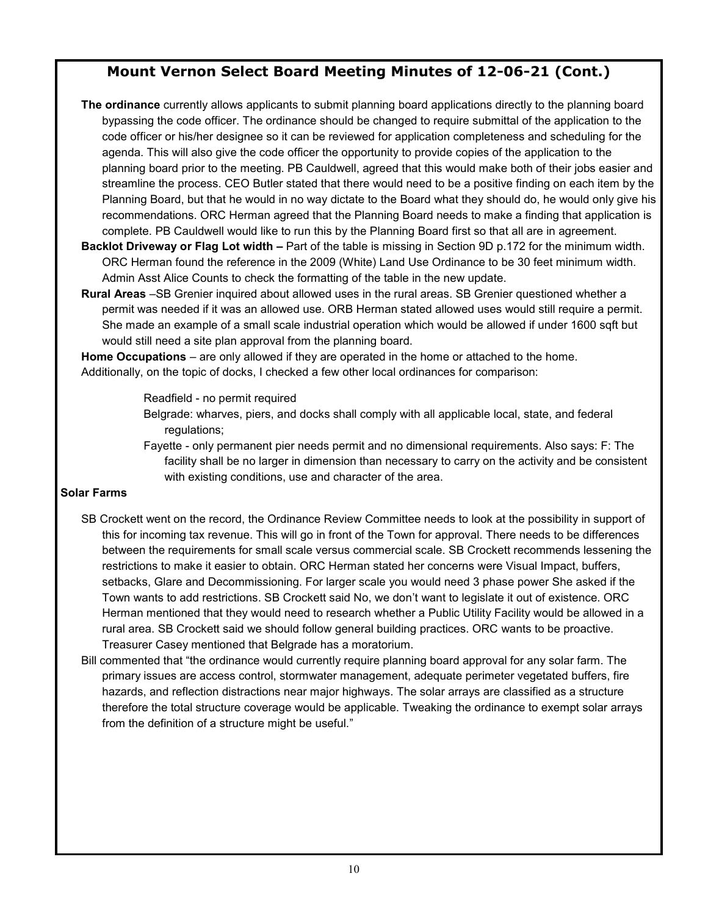# **Mount Vernon Select Board Meeting Minutes of 12-06-21 (Cont.)**

**The ordinance** currently allows applicants to submit planning board applications directly to the planning board bypassing the code officer. The ordinance should be changed to require submittal of the application to the code officer or his/her designee so it can be reviewed for application completeness and scheduling for the agenda. This will also give the code officer the opportunity to provide copies of the application to the planning board prior to the meeting. PB Cauldwell, agreed that this would make both of their jobs easier and streamline the process. CEO Butler stated that there would need to be a positive finding on each item by the Planning Board, but that he would in no way dictate to the Board what they should do, he would only give his recommendations. ORC Herman agreed that the Planning Board needs to make a finding that application is complete. PB Cauldwell would like to run this by the Planning Board first so that all are in agreement.

- **Backlot Driveway or Flag Lot width –** Part of the table is missing in Section 9D p.172 for the minimum width. ORC Herman found the reference in the 2009 (White) Land Use Ordinance to be 30 feet minimum width. Admin Asst Alice Counts to check the formatting of the table in the new update.
- **Rural Areas** –SB Grenier inquired about allowed uses in the rural areas. SB Grenier questioned whether a permit was needed if it was an allowed use. ORB Herman stated allowed uses would still require a permit. She made an example of a small scale industrial operation which would be allowed if under 1600 sqft but would still need a site plan approval from the planning board.

**Home Occupations** – are only allowed if they are operated in the home or attached to the home. Additionally, on the topic of docks, I checked a few other local ordinances for comparison:

Readfield - no permit required

- Belgrade: wharves, piers, and docks shall comply with all applicable local, state, and federal regulations;
- Fayette only permanent pier needs permit and no dimensional requirements. Also says: F: The facility shall be no larger in dimension than necessary to carry on the activity and be consistent with existing conditions, use and character of the area.

#### **Solar Farms**

- SB Crockett went on the record, the Ordinance Review Committee needs to look at the possibility in support of this for incoming tax revenue. This will go in front of the Town for approval. There needs to be differences between the requirements for small scale versus commercial scale. SB Crockett recommends lessening the restrictions to make it easier to obtain. ORC Herman stated her concerns were Visual Impact, buffers, setbacks, Glare and Decommissioning. For larger scale you would need 3 phase power She asked if the Town wants to add restrictions. SB Crockett said No, we don't want to legislate it out of existence. ORC Herman mentioned that they would need to research whether a Public Utility Facility would be allowed in a rural area. SB Crockett said we should follow general building practices. ORC wants to be proactive. Treasurer Casey mentioned that Belgrade has a moratorium.
- Bill commented that "the ordinance would currently require planning board approval for any solar farm. The primary issues are access control, stormwater management, adequate perimeter vegetated buffers, fire hazards, and reflection distractions near major highways. The solar arrays are classified as a structure therefore the total structure coverage would be applicable. Tweaking the ordinance to exempt solar arrays from the definition of a structure might be useful."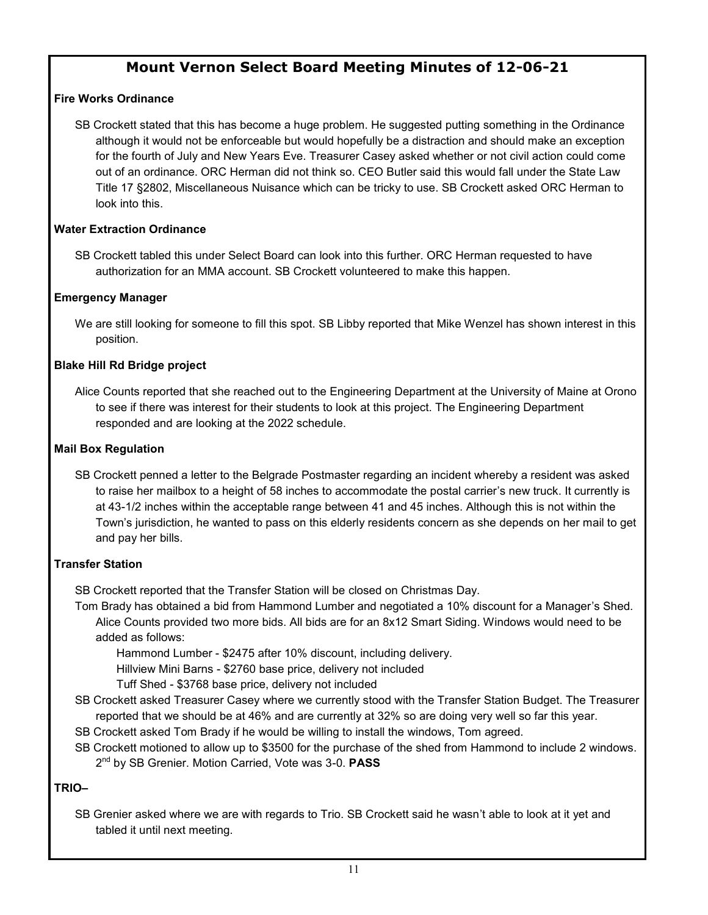# **Mount Vernon Select Board Meeting Minutes of 12-06-21**

#### **Fire Works Ordinance**

SB Crockett stated that this has become a huge problem. He suggested putting something in the Ordinance although it would not be enforceable but would hopefully be a distraction and should make an exception for the fourth of July and New Years Eve. Treasurer Casey asked whether or not civil action could come out of an ordinance. ORC Herman did not think so. CEO Butler said this would fall under the State Law Title 17 §2802, Miscellaneous Nuisance which can be tricky to use. SB Crockett asked ORC Herman to look into this.

#### **Water Extraction Ordinance**

SB Crockett tabled this under Select Board can look into this further. ORC Herman requested to have authorization for an MMA account. SB Crockett volunteered to make this happen.

#### **Emergency Manager**

We are still looking for someone to fill this spot. SB Libby reported that Mike Wenzel has shown interest in this position.

#### **Blake Hill Rd Bridge project**

Alice Counts reported that she reached out to the Engineering Department at the University of Maine at Orono to see if there was interest for their students to look at this project. The Engineering Department responded and are looking at the 2022 schedule.

#### **Mail Box Regulation**

SB Crockett penned a letter to the Belgrade Postmaster regarding an incident whereby a resident was asked to raise her mailbox to a height of 58 inches to accommodate the postal carrier's new truck. It currently is at 43-1/2 inches within the acceptable range between 41 and 45 inches. Although this is not within the Town's jurisdiction, he wanted to pass on this elderly residents concern as she depends on her mail to get and pay her bills.

#### **Transfer Station**

SB Crockett reported that the Transfer Station will be closed on Christmas Day.

Tom Brady has obtained a bid from Hammond Lumber and negotiated a 10% discount for a Manager's Shed. Alice Counts provided two more bids. All bids are for an 8x12 Smart Siding. Windows would need to be added as follows:

Hammond Lumber - \$2475 after 10% discount, including delivery.

Hillview Mini Barns - \$2760 base price, delivery not included

Tuff Shed - \$3768 base price, delivery not included

- SB Crockett asked Treasurer Casey where we currently stood with the Transfer Station Budget. The Treasurer reported that we should be at 46% and are currently at 32% so are doing very well so far this year.
- SB Crockett asked Tom Brady if he would be willing to install the windows, Tom agreed.
- SB Crockett motioned to allow up to \$3500 for the purchase of the shed from Hammond to include 2 windows. 2 nd by SB Grenier. Motion Carried, Vote was 3-0. **PASS**

#### **TRIO–**

SB Grenier asked where we are with regards to Trio. SB Crockett said he wasn't able to look at it yet and tabled it until next meeting.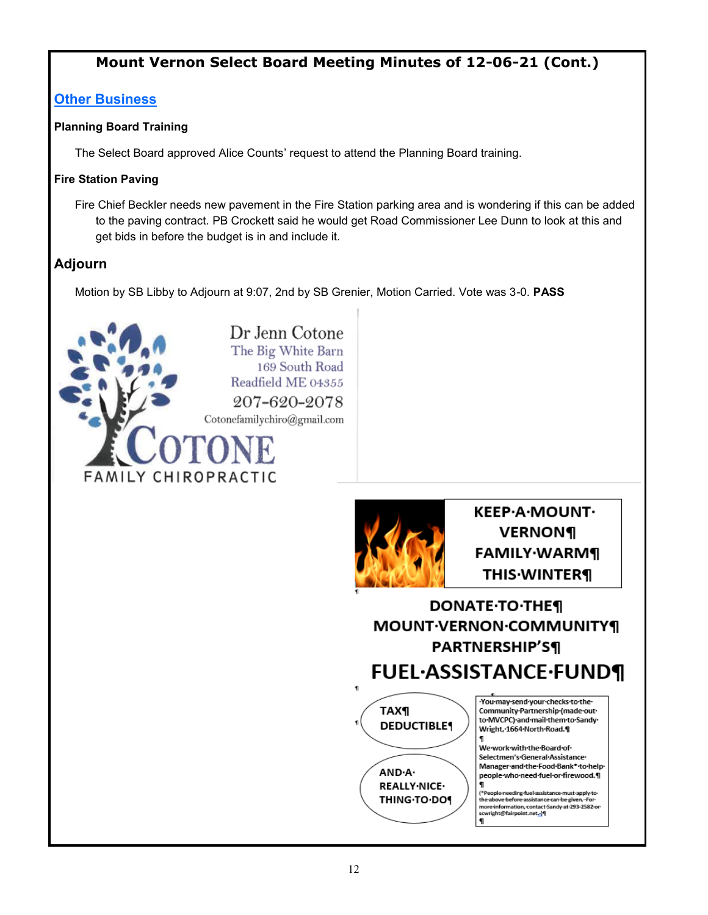# **Mount Vernon Select Board Meeting Minutes of 12-06-21 (Cont.)**

# **Other Business**

#### **Planning Board Training**

The Select Board approved Alice Counts' request to attend the Planning Board training.

#### **Fire Station Paving**

Fire Chief Beckler needs new pavement in the Fire Station parking area and is wondering if this can be added to the paving contract. PB Crockett said he would get Road Commissioner Lee Dunn to look at this and get bids in before the budget is in and include it.

# **Adjourn**

Motion by SB Libby to Adjourn at 9:07, 2nd by SB Grenier, Motion Carried. Vote was 3-0. **PASS**





**KEEP·A·MOUNT·** VERNON¶ **FAMILY** WARM¶ **THIS** WINTER¶

# **DONATE-TO-THE¶ MOUNT·VERNON·COMMUNITY¶ PARTNERSHIP'S¶ FUEL·ASSISTANCE·FUND¶**



You may send your checks to the Community Partnership (made out to MVCPC) and mail them to Sandy Wright, 1664 North Road.

We work with the Board of Selectmen's General Assistance Manager·and·the·Food·Bank\*·to·help· people who need fuel or firewood.¶ 1

e-needing-fuel-assistance-must-apply-to-<br>ve-before-assistance-can-be-given.--For-(\*Pea the ab more information, contact-Sandy-at-293-2582-or-<br>sowright@fairpoint.net-<mark>..</mark>\fl  $\mathbf{q}$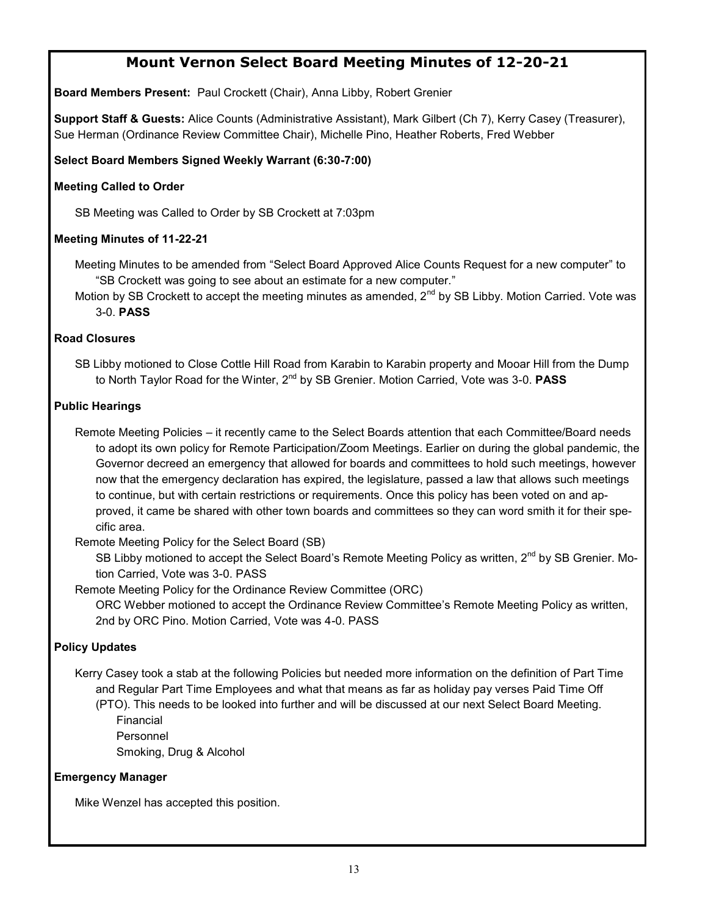# **Mount Vernon Select Board Meeting Minutes of 12-20-21**

**Board Members Present:** Paul Crockett (Chair), Anna Libby, Robert Grenier

**Support Staff & Guests:** Alice Counts (Administrative Assistant), Mark Gilbert (Ch 7), Kerry Casey (Treasurer), Sue Herman (Ordinance Review Committee Chair), Michelle Pino, Heather Roberts, Fred Webber

**Select Board Members Signed Weekly Warrant (6:30-7:00)**

#### **Meeting Called to Order**

SB Meeting was Called to Order by SB Crockett at 7:03pm

#### **Meeting Minutes of 11-22-21**

Meeting Minutes to be amended from "Select Board Approved Alice Counts Request for a new computer" to "SB Crockett was going to see about an estimate for a new computer."

Motion by SB Crockett to accept the meeting minutes as amended,  $2<sup>nd</sup>$  by SB Libby. Motion Carried. Vote was 3-0. **PASS**

#### **Road Closures**

SB Libby motioned to Close Cottle Hill Road from Karabin to Karabin property and Mooar Hill from the Dump to North Taylor Road for the Winter, 2nd by SB Grenier. Motion Carried, Vote was 3-0. **PASS**

#### **Public Hearings**

Remote Meeting Policies – it recently came to the Select Boards attention that each Committee/Board needs to adopt its own policy for Remote Participation/Zoom Meetings. Earlier on during the global pandemic, the Governor decreed an emergency that allowed for boards and committees to hold such meetings, however now that the emergency declaration has expired, the legislature, passed a law that allows such meetings to continue, but with certain restrictions or requirements. Once this policy has been voted on and approved, it came be shared with other town boards and committees so they can word smith it for their specific area.

Remote Meeting Policy for the Select Board (SB)

SB Libby motioned to accept the Select Board's Remote Meeting Policy as written, 2<sup>nd</sup> by SB Grenier. Motion Carried, Vote was 3-0. PASS

Remote Meeting Policy for the Ordinance Review Committee (ORC)

ORC Webber motioned to accept the Ordinance Review Committee's Remote Meeting Policy as written, 2nd by ORC Pino. Motion Carried, Vote was 4-0. PASS

#### **Policy Updates**

Kerry Casey took a stab at the following Policies but needed more information on the definition of Part Time and Regular Part Time Employees and what that means as far as holiday pay verses Paid Time Off

(PTO). This needs to be looked into further and will be discussed at our next Select Board Meeting. Financial Personnel

Smoking, Drug & Alcohol

#### **Emergency Manager**

Mike Wenzel has accepted this position.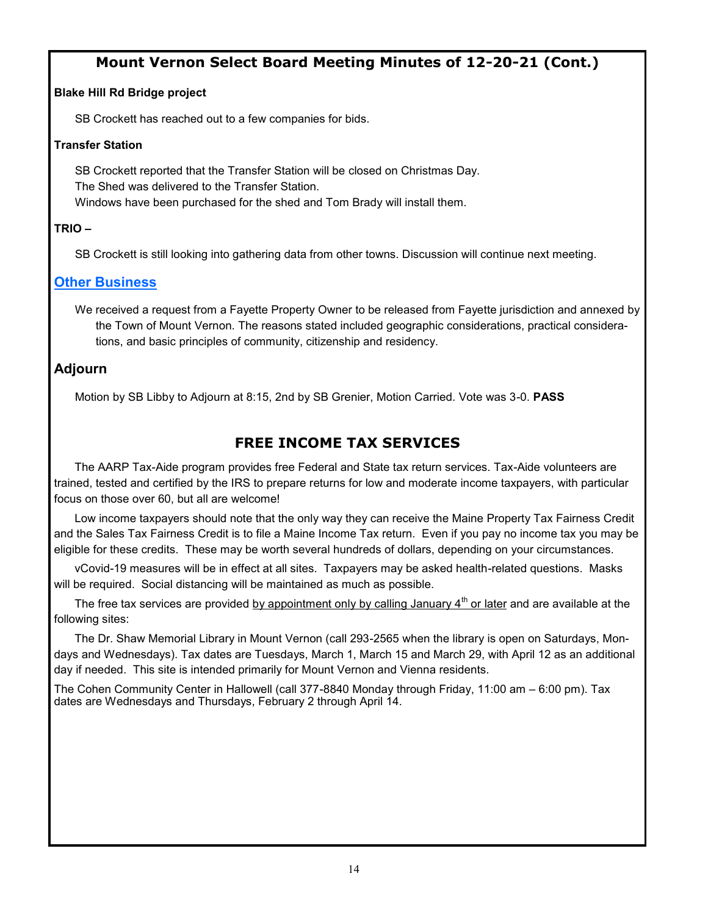# **Mount Vernon Select Board Meeting Minutes of 12-20-21 (Cont.)**

#### **Blake Hill Rd Bridge project**

SB Crockett has reached out to a few companies for bids.

#### **Transfer Station**

SB Crockett reported that the Transfer Station will be closed on Christmas Day. The Shed was delivered to the Transfer Station. Windows have been purchased for the shed and Tom Brady will install them.

#### **TRIO –**

SB Crockett is still looking into gathering data from other towns. Discussion will continue next meeting.

### **Other Business**

We received a request from a Fayette Property Owner to be released from Fayette jurisdiction and annexed by the Town of Mount Vernon. The reasons stated included geographic considerations, practical considerations, and basic principles of community, citizenship and residency.

### **Adjourn**

Motion by SB Libby to Adjourn at 8:15, 2nd by SB Grenier, Motion Carried. Vote was 3-0. **PASS**

# **FREE INCOME TAX SERVICES**

The AARP Tax-Aide program provides free Federal and State tax return services. Tax-Aide volunteers are trained, tested and certified by the IRS to prepare returns for low and moderate income taxpayers, with particular focus on those over 60, but all are welcome!

Low income taxpayers should note that the only way they can receive the Maine Property Tax Fairness Credit and the Sales Tax Fairness Credit is to file a Maine Income Tax return. Even if you pay no income tax you may be eligible for these credits. These may be worth several hundreds of dollars, depending on your circumstances.

vCovid-19 measures will be in effect at all sites. Taxpayers may be asked health-related questions. Masks will be required. Social distancing will be maintained as much as possible.

The free tax services are provided by appointment only by calling January  $4<sup>th</sup>$  or later and are available at the following sites:

The Dr. Shaw Memorial Library in Mount Vernon (call 293-2565 when the library is open on Saturdays, Mondays and Wednesdays). Tax dates are Tuesdays, March 1, March 15 and March 29, with April 12 as an additional day if needed. This site is intended primarily for Mount Vernon and Vienna residents.

The Cohen Community Center in Hallowell (call 377-8840 Monday through Friday, 11:00 am – 6:00 pm). Tax dates are Wednesdays and Thursdays, February 2 through April 14.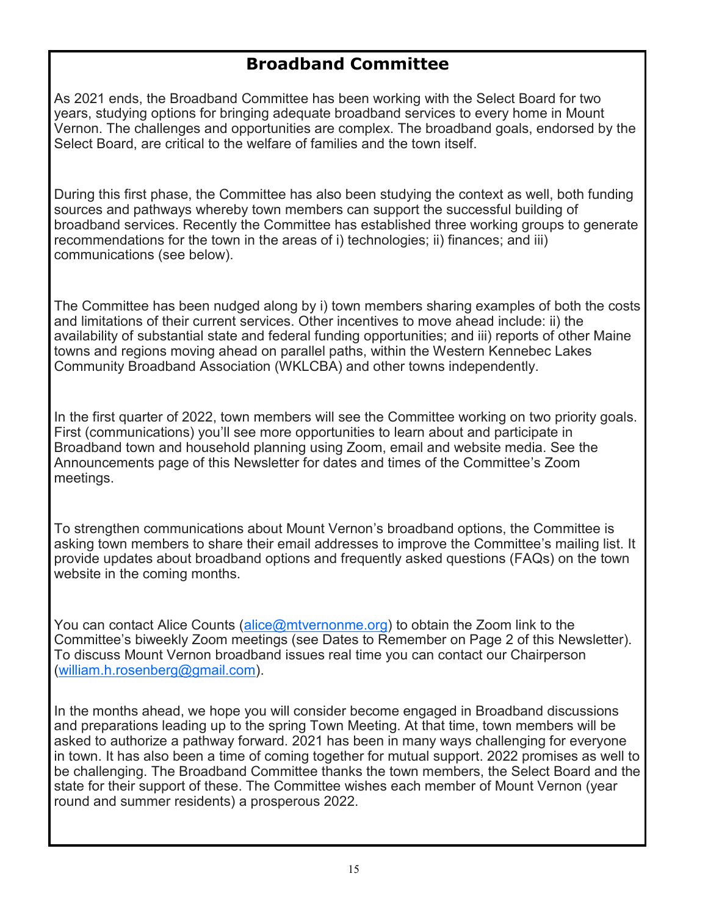# **Broadband Committee**

As 2021 ends, the Broadband Committee has been working with the Select Board for two years, studying options for bringing adequate broadband services to every home in Mount Vernon. The challenges and opportunities are complex. The broadband goals, endorsed by the Select Board, are critical to the welfare of families and the town itself.

During this first phase, the Committee has also been studying the context as well, both funding sources and pathways whereby town members can support the successful building of broadband services. Recently the Committee has established three working groups to generate recommendations for the town in the areas of i) technologies; ii) finances; and iii) communications (see below).

The Committee has been nudged along by i) town members sharing examples of both the costs and limitations of their current services. Other incentives to move ahead include: ii) the availability of substantial state and federal funding opportunities; and iii) reports of other Maine towns and regions moving ahead on parallel paths, within the Western Kennebec Lakes Community Broadband Association (WKLCBA) and other towns independently.

In the first quarter of 2022, town members will see the Committee working on two priority goals. First (communications) you'll see more opportunities to learn about and participate in Broadband town and household planning using Zoom, email and website media. See the Announcements page of this Newsletter for dates and times of the Committee's Zoom meetings.

To strengthen communications about Mount Vernon's broadband options, the Committee is asking town members to share their email addresses to improve the Committee's mailing list. It provide updates about broadband options and frequently asked questions (FAQs) on the town website in the coming months.

You can contact Alice Counts ([alice@mtvernonme.org\)](mailto:alice@mtvernonme.org) to obtain the Zoom link to the Committee's biweekly Zoom meetings (see Dates to Remember on Page 2 of this Newsletter). To discuss Mount Vernon broadband issues real time you can contact our Chairperson ([william.h.rosenberg@gmail.com\)](mailto:william.h.rosenberg@gmail.com).

In the months ahead, we hope you will consider become engaged in Broadband discussions and preparations leading up to the spring Town Meeting. At that time, town members will be asked to authorize a pathway forward. 2021 has been in many ways challenging for everyone in town. It has also been a time of coming together for mutual support. 2022 promises as well to be challenging. The Broadband Committee thanks the town members, the Select Board and the state for their support of these. The Committee wishes each member of Mount Vernon (year round and summer residents) a prosperous 2022.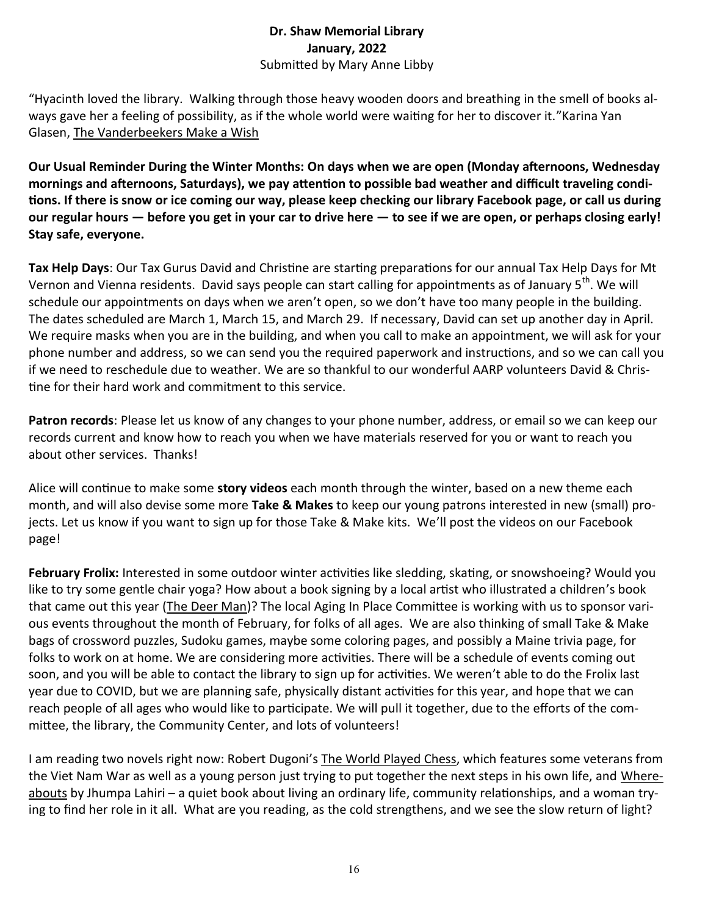### **Dr. Shaw Memorial Library January, 2022** Submitted by Mary Anne Libby

"Hyacinth loved the library. Walking through those heavy wooden doors and breathing in the smell of books always gave her a feeling of possibility, as if the whole world were waiting for her to discover it."Karina Yan Glasen, The Vanderbeekers Make a Wish

**Our Usual Reminder During the Winter Months: On days when we are open (Monday afternoons, Wednesday mornings and afternoons, Saturdays), we pay attention to possible bad weather and difficult traveling conditions. If there is snow or ice coming our way, please keep checking our library Facebook page, or call us during our regular hours — before you get in your car to drive here — to see if we are open, or perhaps closing early! Stay safe, everyone.**

**Tax Help Days**: Our Tax Gurus David and Christine are starting preparations for our annual Tax Help Days for Mt Vernon and Vienna residents. David says people can start calling for appointments as of January 5<sup>th</sup>. We will schedule our appointments on days when we aren't open, so we don't have too many people in the building. The dates scheduled are March 1, March 15, and March 29. If necessary, David can set up another day in April. We require masks when you are in the building, and when you call to make an appointment, we will ask for your phone number and address, so we can send you the required paperwork and instructions, and so we can call you if we need to reschedule due to weather. We are so thankful to our wonderful AARP volunteers David & Christine for their hard work and commitment to this service.

**Patron records**: Please let us know of any changes to your phone number, address, or email so we can keep our records current and know how to reach you when we have materials reserved for you or want to reach you about other services. Thanks!

Alice will continue to make some **story videos** each month through the winter, based on a new theme each month, and will also devise some more **Take & Makes** to keep our young patrons interested in new (small) projects. Let us know if you want to sign up for those Take & Make kits. We'll post the videos on our Facebook page!

**February Frolix:** Interested in some outdoor winter activities like sledding, skating, or snowshoeing? Would you like to try some gentle chair yoga? How about a book signing by a local artist who illustrated a children's book that came out this year (*The Deer Man*)? The local Aging In Place Committee is working with us to sponsor various events throughout the month of February, for folks of all ages. We are also thinking of small Take & Make bags of crossword puzzles, Sudoku games, maybe some coloring pages, and possibly a Maine trivia page, for folks to work on at home. We are considering more activities. There will be a schedule of events coming out soon, and you will be able to contact the library to sign up for activities. We weren't able to do the Frolix last year due to COVID, but we are planning safe, physically distant activities for this year, and hope that we can reach people of all ages who would like to participate. We will pull it together, due to the efforts of the committee, the library, the Community Center, and lots of volunteers!

I am reading two novels right now: Robert Dugoni's The World Played Chess, which features some veterans from the Viet Nam War as well as a young person just trying to put together the next steps in his own life, and Whereabouts by Jhumpa Lahiri – a quiet book about living an ordinary life, community relationships, and a woman trying to find her role in it all. What are you reading, as the cold strengthens, and we see the slow return of light?